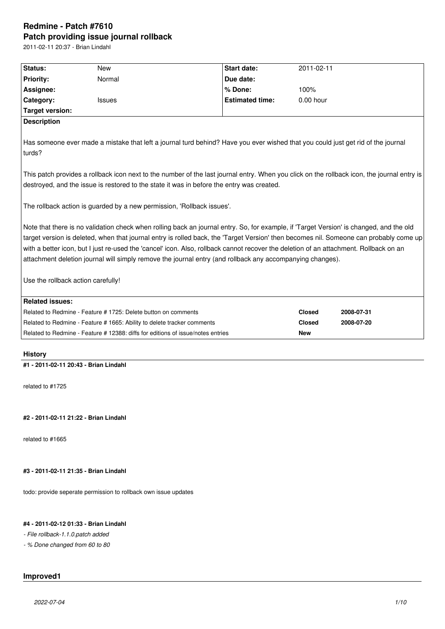# **Redmine - Patch #7610 Patch providing issue journal rollback**

2011-02-11 20:37 - Brian Lindahl

| Status:                                                                                                                                     | New                                                                             | <b>Start date:</b>                                                                                                                      | 2011-02-11    |            |  |  |  |  |
|---------------------------------------------------------------------------------------------------------------------------------------------|---------------------------------------------------------------------------------|-----------------------------------------------------------------------------------------------------------------------------------------|---------------|------------|--|--|--|--|
| <b>Priority:</b>                                                                                                                            | Normal                                                                          | Due date:                                                                                                                               |               |            |  |  |  |  |
| Assignee:                                                                                                                                   |                                                                                 | % Done:                                                                                                                                 | 100%          |            |  |  |  |  |
| Category:                                                                                                                                   | Issues                                                                          | <b>Estimated time:</b>                                                                                                                  | $0.00$ hour   |            |  |  |  |  |
| <b>Target version:</b>                                                                                                                      |                                                                                 |                                                                                                                                         |               |            |  |  |  |  |
| <b>Description</b>                                                                                                                          |                                                                                 |                                                                                                                                         |               |            |  |  |  |  |
|                                                                                                                                             |                                                                                 |                                                                                                                                         |               |            |  |  |  |  |
|                                                                                                                                             |                                                                                 | Has someone ever made a mistake that left a journal turd behind? Have you ever wished that you could just get rid of the journal        |               |            |  |  |  |  |
| turds?                                                                                                                                      |                                                                                 |                                                                                                                                         |               |            |  |  |  |  |
| This patch provides a rollback icon next to the number of the last journal entry. When you click on the rollback icon, the journal entry is |                                                                                 |                                                                                                                                         |               |            |  |  |  |  |
| destroyed, and the issue is restored to the state it was in before the entry was created.                                                   |                                                                                 |                                                                                                                                         |               |            |  |  |  |  |
|                                                                                                                                             |                                                                                 |                                                                                                                                         |               |            |  |  |  |  |
| The rollback action is guarded by a new permission, 'Rollback issues'.                                                                      |                                                                                 |                                                                                                                                         |               |            |  |  |  |  |
|                                                                                                                                             |                                                                                 |                                                                                                                                         |               |            |  |  |  |  |
|                                                                                                                                             |                                                                                 | Note that there is no validation check when rolling back an journal entry. So, for example, if 'Target Version' is changed, and the old |               |            |  |  |  |  |
|                                                                                                                                             |                                                                                 | target version is deleted, when that journal entry is rolled back, the 'Target Version' then becomes nil. Someone can probably come up  |               |            |  |  |  |  |
| with a better icon, but I just re-used the 'cancel' icon. Also, rollback cannot recover the deletion of an attachment. Rollback on an       |                                                                                 |                                                                                                                                         |               |            |  |  |  |  |
| attachment deletion journal will simply remove the journal entry (and rollback any accompanying changes).                                   |                                                                                 |                                                                                                                                         |               |            |  |  |  |  |
| Use the rollback action carefully!                                                                                                          |                                                                                 |                                                                                                                                         |               |            |  |  |  |  |
|                                                                                                                                             |                                                                                 |                                                                                                                                         |               |            |  |  |  |  |
| <b>Related issues:</b>                                                                                                                      |                                                                                 |                                                                                                                                         |               |            |  |  |  |  |
|                                                                                                                                             | Related to Redmine - Feature # 1725: Delete button on comments                  |                                                                                                                                         | <b>Closed</b> | 2008-07-31 |  |  |  |  |
|                                                                                                                                             | Related to Redmine - Feature # 1665: Ability to delete tracker comments         |                                                                                                                                         | <b>Closed</b> | 2008-07-20 |  |  |  |  |
|                                                                                                                                             | Related to Redmine - Feature # 12388: diffs for editions of issue/notes entries |                                                                                                                                         | New           |            |  |  |  |  |
|                                                                                                                                             |                                                                                 |                                                                                                                                         |               |            |  |  |  |  |
| <b>History</b>                                                                                                                              |                                                                                 |                                                                                                                                         |               |            |  |  |  |  |
|                                                                                                                                             | #1 - 2011-02-11 20:43 - Brian Lindahl                                           |                                                                                                                                         |               |            |  |  |  |  |
|                                                                                                                                             |                                                                                 |                                                                                                                                         |               |            |  |  |  |  |
| related to #1725                                                                                                                            |                                                                                 |                                                                                                                                         |               |            |  |  |  |  |
|                                                                                                                                             |                                                                                 |                                                                                                                                         |               |            |  |  |  |  |

## **#2 - 2011-02-11 21:22 - Brian Lindahl**

related to #1665

# **#3 - 2011-02-11 21:35 - Brian Lindahl**

todo: provide seperate permission to rollback own issue updates

## **#4 - 2011-02-12 01:33 - Brian Lindahl**

*- File rollback-1.1.0.patch added*

*- % Done changed from 60 to 80*

# **Improved1**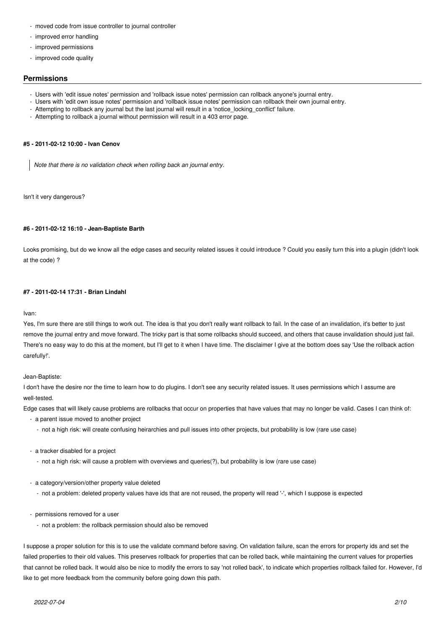- moved code from issue controller to journal controller
- improved error handling
- improved permissions
- improved code quality

## **Permissions**

- Users with 'edit issue notes' permission and 'rollback issue notes' permission can rollback anyone's journal entry.
- Users with 'edit own issue notes' permission and 'rollback issue notes' permission can rollback their own journal entry.
- Attempting to rollback any journal but the last journal will result in a 'notice\_locking\_conflict' failure.
- Attempting to rollback a journal without permission will result in a 403 error page.

## **#5 - 2011-02-12 10:00 - Ivan Cenov**

*Note that there is no validation check when rolling back an journal entry.*

Isn't it very dangerous?

### **#6 - 2011-02-12 16:10 - Jean-Baptiste Barth**

Looks promising, but do we know all the edge cases and security related issues it could introduce ? Could you easily turn this into a plugin (didn't look at the code) ?

### **#7 - 2011-02-14 17:31 - Brian Lindahl**

Ivan:

Yes, I'm sure there are still things to work out. The idea is that you don't really want rollback to fail. In the case of an invalidation, it's better to just remove the journal entry and move forward. The tricky part is that some rollbacks should succeed, and others that cause invalidation should just fail. There's no easy way to do this at the moment, but I'll get to it when I have time. The disclaimer I give at the bottom does say 'Use the rollback action carefully!'.

Jean-Baptiste:

I don't have the desire nor the time to learn how to do plugins. I don't see any security related issues. It uses permissions which I assume are well-tested.

Edge cases that will likely cause problems are rollbacks that occur on properties that have values that may no longer be valid. Cases I can think of:

- a parent issue moved to another project
	- not a high risk: will create confusing heirarchies and pull issues into other projects, but probability is low (rare use case)
- a tracker disabled for a project
	- not a high risk: will cause a problem with overviews and queries(?), but probability is low (rare use case)
- a category/version/other property value deleted
	- not a problem: deleted property values have ids that are not reused, the property will read '-', which I suppose is expected
- permissions removed for a user
	- not a problem: the rollback permission should also be removed

I suppose a proper solution for this is to use the validate command before saving. On validation failure, scan the errors for property ids and set the failed properties to their old values. This preserves rollback for properties that can be rolled back, while maintaining the current values for properties that cannot be rolled back. It would also be nice to modify the errors to say 'not rolled back', to indicate which properties rollback failed for. However, I'd like to get more feedback from the community before going down this path.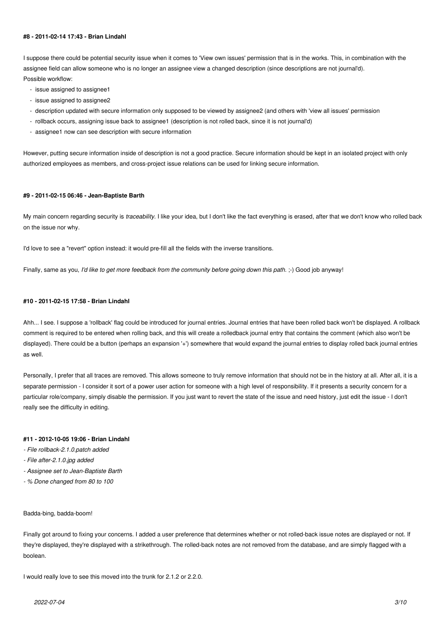### **#8 - 2011-02-14 17:43 - Brian Lindahl**

I suppose there could be potential security issue when it comes to 'View own issues' permission that is in the works. This, in combination with the assignee field can allow someone who is no longer an assignee view a changed description (since descriptions are not journal'd). Possible workflow:

- issue assigned to assignee1
- issue assigned to assignee2
- description updated with secure information only supposed to be viewed by assignee2 (and others with 'view all issues' permission
- rollback occurs, assigning issue back to assignee1 (description is not rolled back, since it is not journal'd)
- assignee1 now can see description with secure information

However, putting secure information inside of description is not a good practice. Secure information should be kept in an isolated project with only authorized employees as members, and cross-project issue relations can be used for linking secure information.

### **#9 - 2011-02-15 06:46 - Jean-Baptiste Barth**

My main concern regarding security is *traceability*. I like your idea, but I don't like the fact everything is erased, after that we don't know who rolled back on the issue nor why.

I'd love to see a "revert" option instead: it would pre-fill all the fields with the inverse transitions.

Finally, same as you, *I'd like to get more feedback from the community before going down this path.* ;-) Good job anyway!

### **#10 - 2011-02-15 17:58 - Brian Lindahl**

Ahh... I see. I suppose a 'rollback' flag could be introduced for journal entries. Journal entries that have been rolled back won't be displayed. A rollback comment is required to be entered when rolling back, and this will create a rolledback journal entry that contains the comment (which also won't be displayed). There could be a button (perhaps an expansion '+') somewhere that would expand the journal entries to display rolled back journal entries as well.

Personally, I prefer that all traces are removed. This allows someone to truly remove information that should not be in the history at all. After all, it is a separate permission - I consider it sort of a power user action for someone with a high level of responsibility. If it presents a security concern for a particular role/company, simply disable the permission. If you just want to revert the state of the issue and need history, just edit the issue - I don't really see the difficulty in editing.

## **#11 - 2012-10-05 19:06 - Brian Lindahl**

- *File rollback-2.1.0.patch added*
- *File after-2.1.0.jpg added*
- *Assignee set to Jean-Baptiste Barth*
- *% Done changed from 80 to 100*

#### Badda-bing, badda-boom!

Finally got around to fixing your concerns. I added a user preference that determines whether or not rolled-back issue notes are displayed or not. If they're displayed, they're displayed with a strikethrough. The rolled-back notes are not removed from the database, and are simply flagged with a boolean.

I would really love to see this moved into the trunk for 2.1.2 or 2.2.0.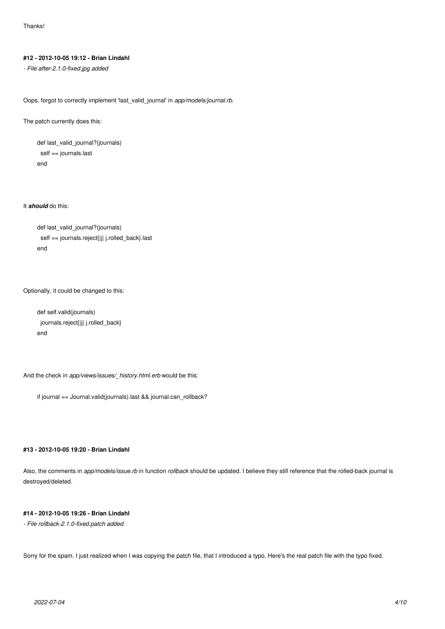## **#12 - 2012-10-05 19:12 - Brian Lindahl**

*- File after-2.1.0-fixed.jpg added*

Oops, forgot to correctly implement 'last\_valid\_journal' in *app/models/journal.rb*.

The patch currently does this:

 def last\_valid\_journal?(journals) self == journals.last end

It *should* do this:

```
 def last_valid_journal?(journals)
 self == journals.reject{|j| j.rolled_back}.last
end
```
Optionally, it could be changed to this:

 def self.valid(journals) journals.reject{|j| j.rolled\_back} end

And the check in *app/views/issues/\_history.html.erb* would be this:

if journal == Journal.valid(journals).last && journal.can\_rollback?

## **#13 - 2012-10-05 19:20 - Brian Lindahl**

Also, the comments in *app/models/issue.rb* in function *rollback* should be updated. I believe they still reference that the rolled-back journal is destroyed/deleted.

## **#14 - 2012-10-05 19:26 - Brian Lindahl**

*- File rollback-2.1.0-fixed.patch added*

Sorry for the spam. I just realized when I was copying the patch file, that I introduced a typo. Here's the real patch file with the typo fixed.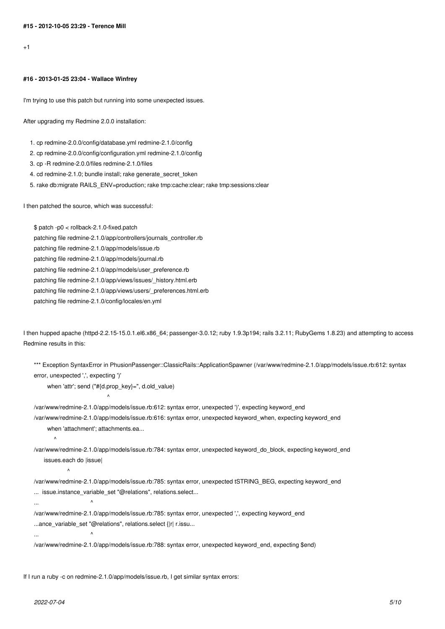$+1$ 

#### **#16 - 2013-01-25 23:04 - Wallace Winfrey**

I'm trying to use this patch but running into some unexpected issues.

After upgrading my Redmine 2.0.0 installation:

1. cp redmine-2.0.0/config/database.yml redmine-2.1.0/config

- 2. cp redmine-2.0.0/config/configuration.yml redmine-2.1.0/config
- 3. cp -R redmine-2.0.0/files redmine-2.1.0/files
- 4. cd redmine-2.1.0; bundle install; rake generate secret token
- 5. rake db:migrate RAILS\_ENV=production; rake tmp:cache:clear; rake tmp:sessions:clear

I then patched the source, which was successful:

\$ patch -p0 < rollback-2.1.0-fixed.patch

patching file redmine-2.1.0/app/controllers/journals\_controller.rb

- patching file redmine-2.1.0/app/models/issue.rb
- patching file redmine-2.1.0/app/models/journal.rb
- patching file redmine-2.1.0/app/models/user\_preference.rb
- patching file redmine-2.1.0/app/views/issues/\_history.html.erb
- patching file redmine-2.1.0/app/views/users/\_preferences.html.erb
- patching file redmine-2.1.0/config/locales/en.yml

I then hupped apache (httpd-2.2.15-15.0.1.el6.x86\_64; passenger-3.0.12; ruby 1.9.3p194; rails 3.2.11; RubyGems 1.8.23) and attempting to access Redmine results in this:

\*\*\* Exception SyntaxError in PhusionPassenger::ClassicRails::ApplicationSpawner (/var/www/redmine-2.1.0/app/models/issue.rb:612: syntax error, unexpected ',', expecting ')'

when 'attr'; send ("#{d.prop\_key}=", d.old\_value)

/var/www/redmine-2.1.0/app/models/issue.rb:612: syntax error, unexpected ')', expecting keyword\_end /var/www/redmine-2.1.0/app/models/issue.rb:616: syntax error, unexpected keyword\_when, expecting keyword\_end

when 'attachment'; attachments.ea...

 $\sim$   $\sim$ 

/var/www/redmine-2.1.0/app/models/issue.rb:784: syntax error, unexpected keyword\_do\_block, expecting keyword\_end issues.each do |issue|

/var/www/redmine-2.1.0/app/models/issue.rb:785: syntax error, unexpected tSTRING\_BEG, expecting keyword\_end ... issue.instance\_variable\_set "@relations", relations.select...

/var/www/redmine-2.1.0/app/models/issue.rb:785: syntax error, unexpected ',', expecting keyword\_end ...ance\_variable\_set "@relations", relations.select {|r| r.issu...

... ^

... ^

 $\overline{\phantom{a}}$ 

 $\overline{\phantom{a}}$ 

/var/www/redmine-2.1.0/app/models/issue.rb:788: syntax error, unexpected keyword\_end, expecting \$end)

If I run a ruby -c on redmine-2.1.0/app/models/issue.rb, I get similar syntax errors: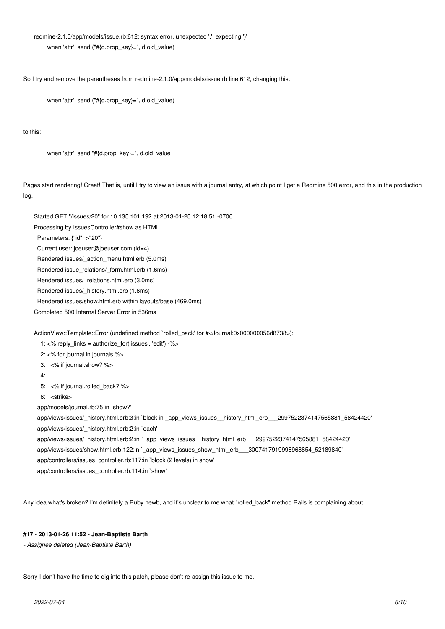## redmine-2.1.0/app/models/issue.rb:612: syntax error, unexpected ',', expecting ')' when 'attr'; send ("#{d.prop\_key}=", d.old\_value)

So I try and remove the parentheses from redmine-2.1.0/app/models/issue.rb line 612, changing this:

when 'attr'; send ("#{d.prop\_key}=", d.old\_value)

to this:

when 'attr': send "#{d.prop\_key}=", d.old\_value

Pages start rendering! Great! That is, until I try to view an issue with a journal entry, at which point I get a Redmine 500 error, and this in the production log.

Started GET "/issues/20" for 10.135.101.192 at 2013-01-25 12:18:51 -0700

Processing by IssuesController#show as HTML

Parameters: {"id"=>"20"}

Current user: joeuser@joeuser.com (id=4)

Rendered issues/\_action\_menu.html.erb (5.0ms)

Rendered issue\_relations/\_form.html.erb (1.6ms)

Rendered issues/\_relations.html.erb (3.0ms)

Rendered issues/\_history.html.erb (1.6ms)

Rendered issues/show.html.erb within layouts/base (469.0ms)

Completed 500 Internal Server Error in 536ms

ActionView::Template::Error (undefined method `rolled back' for #<Journal:0x000000056d8738>):

1:  $\lt$ % reply links = authorize for('issues', 'edit') -%>

2: <% for journal in journals %>

3: <% if journal.show? %>

4:

5: <% if journal.rolled\_back? %>

6: <strike>

app/models/journal.rb:75:in `show?'

 app/views/issues/\_history.html.erb:3:in `block in \_app\_views\_issues\_\_history\_html\_erb\_\_\_2997522374147565881\_58424420' app/views/issues/\_history.html.erb:2:in `each'

 app/views/issues/\_history.html.erb:2:in `\_app\_views\_issues\_\_history\_html\_erb\_\_\_2997522374147565881\_58424420' app/views/issues/show.html.erb:122:in `\_app\_views\_issues\_show\_html\_erb\_\_\_3007417919998968854\_52189840' app/controllers/issues\_controller.rb:117:in `block (2 levels) in show'

app/controllers/issues\_controller.rb:114:in `show'

Any idea what's broken? I'm definitely a Ruby newb, and it's unclear to me what "rolled\_back" method Rails is complaining about.

### **#17 - 2013-01-26 11:52 - Jean-Baptiste Barth**

*- Assignee deleted (Jean-Baptiste Barth)*

Sorry I don't have the time to dig into this patch, please don't re-assign this issue to me.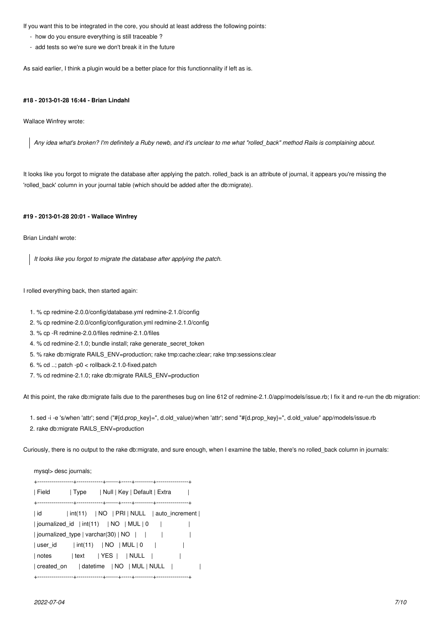If you want this to be integrated in the core, you should at least address the following points:

- how do you ensure everything is still traceable ?
- add tests so we're sure we don't break it in the future

As said earlier, I think a plugin would be a better place for this functionnality if left as is.

#### **#18 - 2013-01-28 16:44 - Brian Lindahl**

Wallace Winfrey wrote:

*Any idea what's broken? I'm definitely a Ruby newb, and it's unclear to me what "rolled\_back" method Rails is complaining about.*

It looks like you forgot to migrate the database after applying the patch. rolled\_back is an attribute of journal, it appears you're missing the 'rolled\_back' column in your journal table (which should be added after the db:migrate).

## **#19 - 2013-01-28 20:01 - Wallace Winfrey**

Brian Lindahl wrote:

*It looks like you forgot to migrate the database after applying the patch.*

I rolled everything back, then started again:

- 1. % cp redmine-2.0.0/config/database.yml redmine-2.1.0/config
- 2. % cp redmine-2.0.0/config/configuration.yml redmine-2.1.0/config
- 3. % cp -R redmine-2.0.0/files redmine-2.1.0/files
- 4. % cd redmine-2.1.0; bundle install; rake generate secret token
- 5. % rake db:migrate RAILS\_ENV=production; rake tmp:cache:clear; rake tmp:sessions:clear
- 6. % cd  $\ldots$  patch -p0  $<$  rollback-2.1.0-fixed.patch
- 7. % cd redmine-2.1.0; rake db:migrate RAILS\_ENV=production

At this point, the rake db:migrate fails due to the parentheses bug on line 612 of redmine-2.1.0/app/models/issue.rb; I fix it and re-run the db migration:

 1. sed -i -e 's/when 'attr'; send ("#{d.prop\_key}=", d.old\_value)/when 'attr'; send "#{d.prop\_key}=", d.old\_value/' app/models/issue.rb 2. rake db:migrate RAILS\_ENV=production

Curiously, there is no output to the rake db:migrate, and sure enough, when I examine the table, there's no rolled\_back column in journals:

| mysql> desc journals;                                                     |  |  |  |  |  |  |  |
|---------------------------------------------------------------------------|--|--|--|--|--|--|--|
|                                                                           |  |  |  |  |  |  |  |
| Null   Key   Default   Extra<br>∣ Field<br>  Type                         |  |  |  |  |  |  |  |
|                                                                           |  |  |  |  |  |  |  |
| $\int \int \int$ $\int \text{NO}$   PRI   NULL   auto_increment  <br>  id |  |  |  |  |  |  |  |
| journalized_id   int(11)   NO   MUL   0                                   |  |  |  |  |  |  |  |
| journalized type   varchar(30)   $NO$                                     |  |  |  |  |  |  |  |
| $\int \int \int$ (11) $\int$ NO $\int$ MUL $\int$ 0<br>  user id          |  |  |  |  |  |  |  |
| $ text$ $ YES$ $ NULL$ $ $<br>  notes                                     |  |  |  |  |  |  |  |
|                                                                           |  |  |  |  |  |  |  |
|                                                                           |  |  |  |  |  |  |  |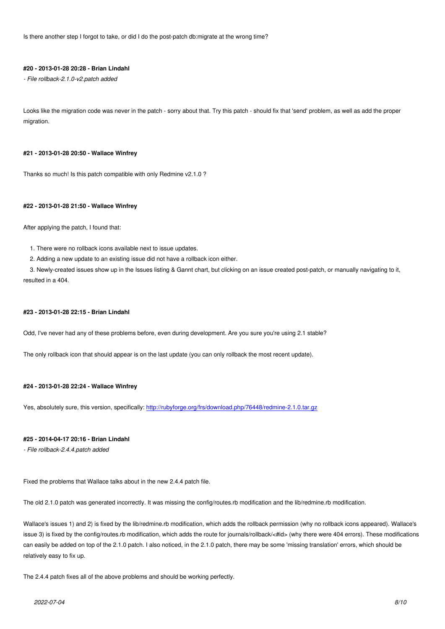Is there another step I forgot to take, or did I do the post-patch db:migrate at the wrong time?

#### **#20 - 2013-01-28 20:28 - Brian Lindahl**

*- File rollback-2.1.0-v2.patch added*

Looks like the migration code was never in the patch - sorry about that. Try this patch - should fix that 'send' problem, as well as add the proper migration.

#### **#21 - 2013-01-28 20:50 - Wallace Winfrey**

Thanks so much! Is this patch compatible with only Redmine v2.1.0 ?

### **#22 - 2013-01-28 21:50 - Wallace Winfrey**

After applying the patch, I found that:

1. There were no rollback icons available next to issue updates.

2. Adding a new update to an existing issue did not have a rollback icon either.

 3. Newly-created issues show up in the Issues listing & Gannt chart, but clicking on an issue created post-patch, or manually navigating to it, resulted in a 404.

### **#23 - 2013-01-28 22:15 - Brian Lindahl**

Odd, I've never had any of these problems before, even during development. Are you sure you're using 2.1 stable?

The only rollback icon that should appear is on the last update (you can only rollback the most recent update).

### **#24 - 2013-01-28 22:24 - Wallace Winfrey**

Yes, absolutely sure, this version, specifically: http://rubyforge.org/frs/download.php/76448/redmine-2.1.0.tar.gz

### **#25 - 2014-04-17 20:16 - Brian Lindahl**

*- File rollback-2.4.4.patch added*

Fixed the problems that Wallace talks about in the new 2.4.4 patch file.

The old 2.1.0 patch was generated incorrectly. It was missing the config/routes.rb modification and the lib/redmine.rb modification.

Wallace's issues 1) and 2) is fixed by the lib/redmine.rb modification, which adds the rollback permission (why no rollback icons appeared). Wallace's issue 3) is fixed by the config/routes.rb modification, which adds the route for journals/rollback/<#id> (why there were 404 errors). These modifications can easily be added on top of the 2.1.0 patch. I also noticed, in the 2.1.0 patch, there may be some 'missing translation' errors, which should be relatively easy to fix up.

The 2.4.4 patch fixes all of the above problems and should be working perfectly.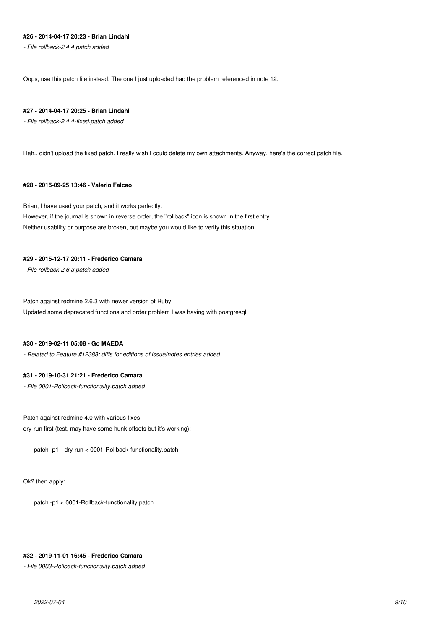## **#26 - 2014-04-17 20:23 - Brian Lindahl**

*- File rollback-2.4.4.patch added*

Oops, use this patch file instead. The one I just uploaded had the problem referenced in note 12.

### **#27 - 2014-04-17 20:25 - Brian Lindahl**

*- File rollback-2.4.4-fixed.patch added*

Hah.. didn't upload the fixed patch. I really wish I could delete my own attachments. Anyway, here's the correct patch file.

## **#28 - 2015-09-25 13:46 - Valerio Falcao**

Brian, I have used your patch, and it works perfectly. However, if the journal is shown in reverse order, the "rollback" icon is shown in the first entry... Neither usability or purpose are broken, but maybe you would like to verify this situation.

## **#29 - 2015-12-17 20:11 - Frederico Camara**

*- File rollback-2.6.3.patch added*

Patch against redmine 2.6.3 with newer version of Ruby. Updated some deprecated functions and order problem I was having with postgresql.

### **#30 - 2019-02-11 05:08 - Go MAEDA**

*- Related to Feature #12388: diffs for editions of issue/notes entries added*

### **#31 - 2019-10-31 21:21 - Frederico Camara**

*- File 0001-Rollback-functionality.patch added*

Patch against redmine 4.0 with various fixes dry-run first (test, may have some hunk offsets but it's working):

patch -p1 --dry-run < 0001-Rollback-functionality.patch

Ok? then apply:

patch -p1 < 0001-Rollback-functionality.patch

### **#32 - 2019-11-01 16:45 - Frederico Camara**

*- File 0003-Rollback-functionality.patch added*